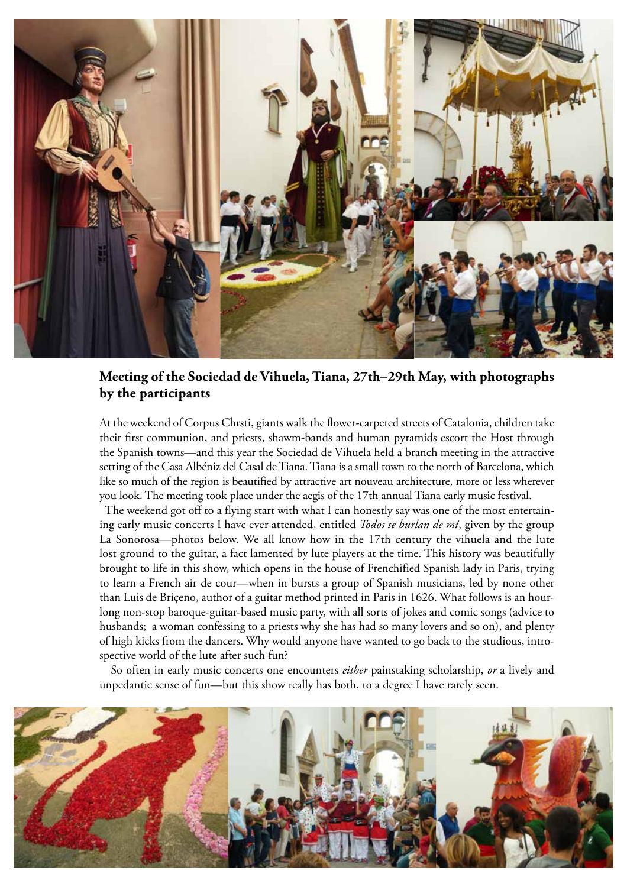

## **Meeting of the Sociedad de Vihuela, Tiana, 27th–29th May, with photographs by the participants**

At the weekend of Corpus Chrsti, giants walk the fower-carpeted streets of Catalonia, children take their frst communion, and priests, shawm-bands and human pyramids escort the Host through the Spanish towns—and this year the Sociedad de Vihuela held a branch meeting in the attractive setting of the Casa Albéniz del Casal de Tiana. Tiana is a small town to the north of Barcelona, which like so much of the region is beautified by attractive art nouveau architecture, more or less wherever you look. The meeting took place under the aegis of the 17th annual Tiana early music festival.

 The weekend got off to a flying start with what I can honestly say was one of the most entertaining early music concerts I have ever attended, entitled *Todos se burlan de mí*, given by the group La Sonorosa—photos below. We all know how in the 17th century the vihuela and the lute lost ground to the guitar, a fact lamented by lute players at the time. This history was beautifully brought to life in this show, which opens in the house of Frenchified Spanish lady in Paris, trying to learn a French air de cour—when in bursts a group of Spanish musicians, led by none other than Luis de Briçeno, author of a guitar method printed in Paris in 1626. What follows is an hourlong non-stop baroque-guitar-based music party, with all sorts of jokes and comic songs (advice to husbands; a woman confessing to a priests why she has had so many lovers and so on), and plenty of high kicks from the dancers. Why would anyone have wanted to go back to the studious, introspective world of the lute after such fun?

 So often in early music concerts one encounters *either* painstaking scholarship, *or* a lively and unpedantic sense of fun—but this show really has both, to a degree I have rarely seen.

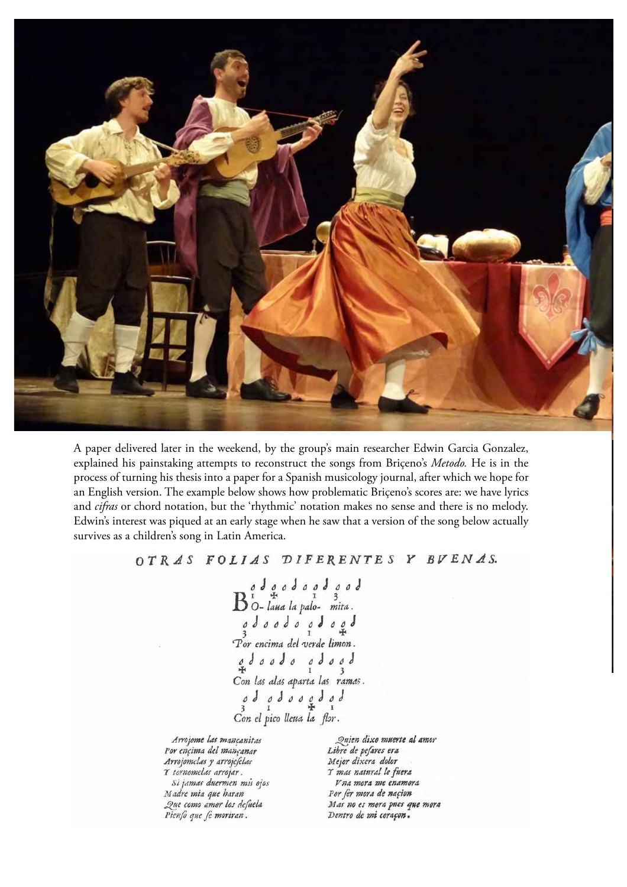

A paper delivered later in the weekend, by the group's main researcher Edwin Garcia Gonzalez, explained his painstaking attempts to reconstruct the songs from Briceno's Metodo. He is in the process of turning his thesis into a paper for a Spanish musicology journal, after which we hope for an English version. The example below shows how problematic Briceno's scores are: we have lyrics and cifras or chord notation, but the 'rhythmic' notation makes no sense and there is no melody. Edwin's interest was piqued at an early stage when he saw that a version of the song below actually survives as a children's song in Latin America.

OTRAS FOLIAS DIFERENTES Y BVENAS.

$$
B_0^{\circ} \xrightarrow{a} B_0^{\circ} \xrightarrow{b} B_1^{\circ} \xrightarrow{a} B_2^{\circ} \xrightarrow{a} B_2^{\circ} \xrightarrow{b} B_3^{\circ} \xrightarrow{c} B_4^{\circ}
$$
  
\n
$$
B_0^{\circ} \xrightarrow{b} B_1^{\circ} \xrightarrow{b} B_2^{\circ} \xrightarrow{c} B_3^{\circ}
$$
  
\n
$$
B_1^{\circ} \xrightarrow{b} B_1^{\circ} \xrightarrow{c} B_2^{\circ} \xrightarrow{d} B_3^{\circ}
$$
  
\n
$$
B_1^{\circ} \xrightarrow{b} B_1^{\circ} \xrightarrow{d} B_1^{\circ}
$$
  
\n
$$
B_2^{\circ} \xrightarrow{b} B_1^{\circ} \xrightarrow{d} B_2^{\circ}
$$
  
\n
$$
B_3^{\circ} \xrightarrow{b} B_1^{\circ} \xrightarrow{b} B_2^{\circ}
$$
  
\n
$$
B_3^{\circ} \xrightarrow{b} B_1^{\circ}
$$
  
\n
$$
B_2^{\circ} \xrightarrow{b} B_2^{\circ}
$$
  
\n
$$
B_3^{\circ} \xrightarrow{b} B_3^{\circ}
$$
  
\n
$$
B_4^{\circ} \xrightarrow{b} B_4^{\circ}
$$
  
\n
$$
B_5^{\circ} \xrightarrow{d} B_4^{\circ}
$$
  
\n
$$
B_5^{\circ} \xrightarrow{d} B_4^{\circ}
$$
  
\n
$$
B_5^{\circ} \xrightarrow{d} B_4^{\circ}
$$
  
\n
$$
B_5^{\circ} \xrightarrow{d} B_4^{\circ}
$$
  
\n
$$
B_5^{\circ} \xrightarrow{d} B_4^{\circ}
$$
  
\n
$$
B_5^{\circ} \xrightarrow{e} B_4^{\circ}
$$
  
\n
$$
B_5^{\circ} \xrightarrow{e} B_4^{\circ}
$$
  
\n
$$
B_5^{\circ} \xrightarrow{f} B_4^{\circ}
$$
  
\n
$$
B_5^{\circ} \xrightarrow{f} B_4^{\circ}
$$
  
\n
$$
B_5^{\circ} \xrightarrow{g} B
$$

Arrojome las mancanitas Por encima del mancanar Arrojomelas y arrojeselas T tornomelas arrojar. Si jamas duermen mis ojos Madre mia que haran Que como amor los defuela Pienso que se moriran.

Quien dixo muerte al amor Libre de pefares era Mejor dixera dolor Y mas natural le fuera Vna mora me enamora Por fer mora de naçion Mas no es mora pues que mora Dentro de mi coraçon.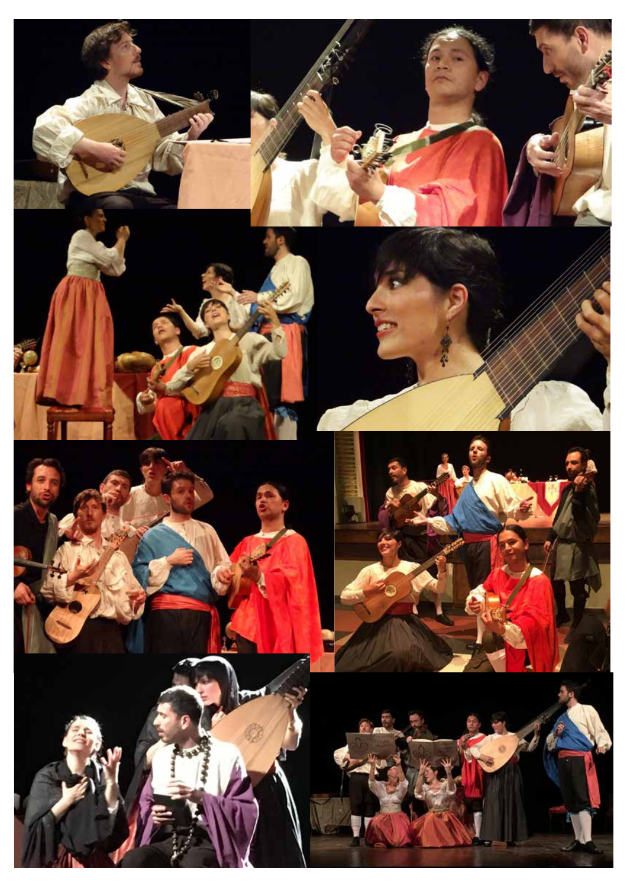